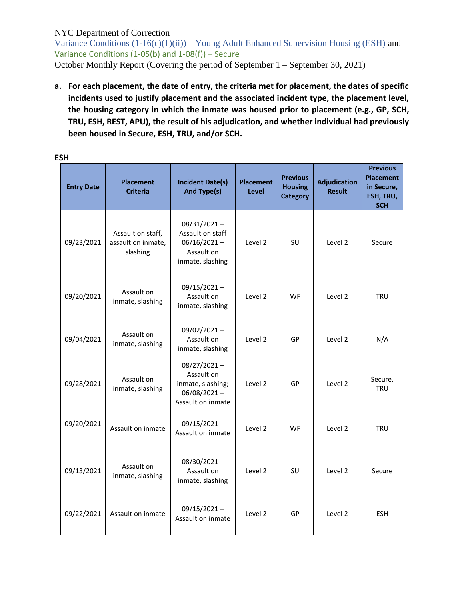Variance Conditions  $(1-16(c)(1)(ii))$  – Young Adult Enhanced Supervision Housing (ESH) and Variance Conditions (1-05(b) and 1-08(f)) – Secure October Monthly Report (Covering the period of September 1 – September 30, 2021)

**a. For each placement, the date of entry, the criteria met for placement, the dates of specific incidents used to justify placement and the associated incident type, the placement level, the housing category in which the inmate was housed prior to placement (e.g., GP, SCH, TRU, ESH, REST, APU), the result of his adjudication, and whether individual had previously been housed in Secure, ESH, TRU, and/or SCH.**

| <b>Entry Date</b> | <b>Placement</b><br><b>Criteria</b>                 | <b>Incident Date(s)</b><br><b>And Type(s)</b>                                            | <b>Placement</b><br><b>Level</b> | <b>Previous</b><br><b>Housing</b><br><b>Category</b> | <b>Adjudication</b><br><b>Result</b> | <b>Previous</b><br><b>Placement</b><br>in Secure,<br>ESH, TRU,<br><b>SCH</b> |
|-------------------|-----------------------------------------------------|------------------------------------------------------------------------------------------|----------------------------------|------------------------------------------------------|--------------------------------------|------------------------------------------------------------------------------|
| 09/23/2021        | Assault on staff,<br>assault on inmate,<br>slashing | $08/31/2021 -$<br>Assault on staff<br>$06/16/2021 -$<br>Assault on<br>inmate, slashing   | Level 2                          | SU                                                   | Level 2                              | Secure                                                                       |
| 09/20/2021        | Assault on<br>inmate, slashing                      | $09/15/2021 -$<br>Assault on<br>inmate, slashing                                         | Level 2                          | WF.                                                  | Level 2                              | <b>TRU</b>                                                                   |
| 09/04/2021        | Assault on<br>inmate, slashing                      | $09/02/2021 -$<br>Assault on<br>inmate, slashing                                         | Level 2                          | GP                                                   | Level 2                              | N/A                                                                          |
| 09/28/2021        | Assault on<br>inmate, slashing                      | $08/27/2021 -$<br>Assault on<br>inmate, slashing;<br>$06/08/2021 -$<br>Assault on inmate | Level 2                          | GP                                                   | Level 2                              | Secure,<br><b>TRU</b>                                                        |
| 09/20/2021        | Assault on inmate                                   | $09/15/2021 -$<br>Assault on inmate                                                      | Level 2                          | <b>WF</b>                                            | Level 2                              | <b>TRU</b>                                                                   |
| 09/13/2021        | Assault on<br>inmate, slashing                      | $08/30/2021 -$<br>Assault on<br>inmate, slashing                                         | Level 2                          | SU                                                   | Level 2                              | Secure                                                                       |
| 09/22/2021        | Assault on inmate                                   | $09/15/2021 -$<br>Assault on inmate                                                      | Level 2                          | GP                                                   | Level 2                              | <b>ESH</b>                                                                   |

#### **ESH**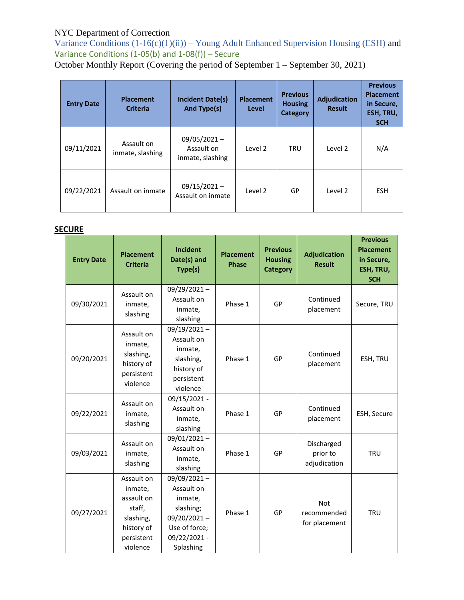Variance Conditions  $(1-16(c)(1)(ii))$  – Young Adult Enhanced Supervision Housing (ESH) and Variance Conditions  $(1-05(b)$  and  $1-08(f))$  – Secure

October Monthly Report (Covering the period of September 1 – September 30, 2021)

| <b>Entry Date</b> | <b>Placement</b><br><b>Criteria</b> | <b>Incident Date(s)</b><br><b>And Type(s)</b>    | <b>Placement</b><br>Level | <b>Previous</b><br><b>Housing</b><br><b>Category</b> | Adjudication<br><b>Result</b> | <b>Previous</b><br><b>Placement</b><br>in Secure,<br>ESH, TRU,<br><b>SCH</b> |
|-------------------|-------------------------------------|--------------------------------------------------|---------------------------|------------------------------------------------------|-------------------------------|------------------------------------------------------------------------------|
| 09/11/2021        | Assault on<br>inmate, slashing      | $09/05/2021 -$<br>Assault on<br>inmate, slashing | Level 2                   | <b>TRU</b>                                           | Level 2                       | N/A                                                                          |
| 09/22/2021        | Assault on inmate                   | $09/15/2021 -$<br>Assault on inmate              | Level 2                   | GP                                                   | Level 2                       | <b>ESH</b>                                                                   |

## **SECURE**

| <b>Entry Date</b> | <b>Placement</b><br><b>Criteria</b>                                                                | <b>Incident</b><br>Date(s) and<br>Type(s)                                                                         | <b>Placement</b><br><b>Phase</b> | <b>Previous</b><br><b>Housing</b><br><b>Category</b> | <b>Adjudication</b><br><b>Result</b>       | <b>Previous</b><br><b>Placement</b><br>in Secure,<br>ESH, TRU,<br><b>SCH</b> |
|-------------------|----------------------------------------------------------------------------------------------------|-------------------------------------------------------------------------------------------------------------------|----------------------------------|------------------------------------------------------|--------------------------------------------|------------------------------------------------------------------------------|
| 09/30/2021        | Assault on<br>inmate,<br>slashing                                                                  | $09/29/2021 -$<br>Assault on<br>inmate,<br>slashing                                                               | Phase 1                          | GP                                                   | Continued<br>placement                     | Secure, TRU                                                                  |
| 09/20/2021        | Assault on<br>inmate,<br>slashing,<br>history of<br>persistent<br>violence                         | $09/19/2021 -$<br>Assault on<br>inmate,<br>slashing,<br>history of<br>persistent<br>violence                      | Phase 1                          | GP                                                   | Continued<br>placement                     | ESH, TRU                                                                     |
| 09/22/2021        | Assault on<br>inmate,<br>slashing                                                                  | 09/15/2021 -<br>Assault on<br>inmate,<br>slashing                                                                 | Phase 1                          | GP                                                   | Continued<br>placement                     | ESH, Secure                                                                  |
| 09/03/2021        | Assault on<br>inmate,<br>slashing                                                                  | $09/01/2021 -$<br>Assault on<br>inmate,<br>slashing                                                               | Phase 1                          | GP                                                   | Discharged<br>prior to<br>adjudication     | <b>TRU</b>                                                                   |
| 09/27/2021        | Assault on<br>inmate,<br>assault on<br>staff,<br>slashing,<br>history of<br>persistent<br>violence | 09/09/2021-<br>Assault on<br>inmate,<br>slashing;<br>$09/20/2021 -$<br>Use of force;<br>09/22/2021 -<br>Splashing | Phase 1                          | GP                                                   | <b>Not</b><br>recommended<br>for placement | <b>TRU</b>                                                                   |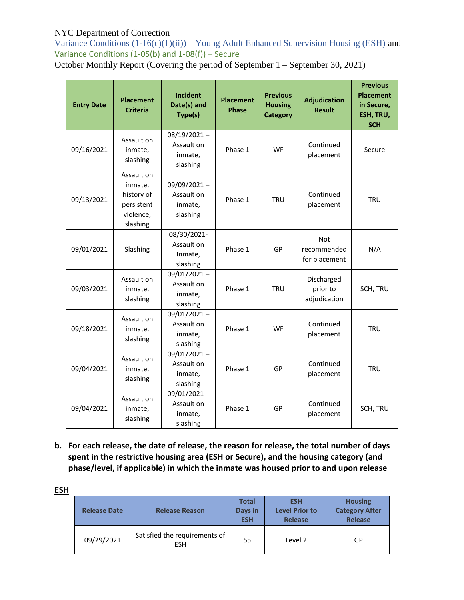Variance Conditions  $(1-16(c)(1)(ii))$  – Young Adult Enhanced Supervision Housing (ESH) and Variance Conditions  $(1-05(b)$  and  $1-08(f))$  – Secure

October Monthly Report (Covering the period of September 1 – September 30, 2021)

| <b>Entry Date</b> | <b>Placement</b><br><b>Criteria</b>                                        | <b>Incident</b><br>Date(s) and<br>Type(s)           | <b>Placement</b><br><b>Phase</b> | <b>Previous</b><br><b>Housing</b><br><b>Category</b> | <b>Adjudication</b><br><b>Result</b>       | <b>Previous</b><br><b>Placement</b><br>in Secure,<br>ESH, TRU,<br><b>SCH</b> |
|-------------------|----------------------------------------------------------------------------|-----------------------------------------------------|----------------------------------|------------------------------------------------------|--------------------------------------------|------------------------------------------------------------------------------|
| 09/16/2021        | Assault on<br>inmate,<br>slashing                                          | $08/19/2021 -$<br>Assault on<br>inmate,<br>slashing | Phase 1                          | WF                                                   | Continued<br>placement                     | Secure                                                                       |
| 09/13/2021        | Assault on<br>inmate,<br>history of<br>persistent<br>violence,<br>slashing | 09/09/2021-<br>Assault on<br>inmate,<br>slashing    | Phase 1                          | <b>TRU</b>                                           | Continued<br>placement                     | <b>TRU</b>                                                                   |
| 09/01/2021        | Slashing                                                                   | 08/30/2021-<br>Assault on<br>Inmate,<br>slashing    | Phase 1                          | GP                                                   | <b>Not</b><br>recommended<br>for placement | N/A                                                                          |
| 09/03/2021        | Assault on<br>inmate,<br>slashing                                          | $09/01/2021 -$<br>Assault on<br>inmate,<br>slashing | Phase 1                          | <b>TRU</b>                                           | Discharged<br>prior to<br>adjudication     | SCH, TRU                                                                     |
| 09/18/2021        | Assault on<br>inmate,<br>slashing                                          | $09/01/2021 -$<br>Assault on<br>inmate,<br>slashing | Phase 1                          | <b>WF</b>                                            | Continued<br>placement                     | <b>TRU</b>                                                                   |
| 09/04/2021        | Assault on<br>inmate,<br>slashing                                          | 09/01/2021-<br>Assault on<br>inmate,<br>slashing    | Phase 1                          | GP                                                   | Continued<br>placement                     | <b>TRU</b>                                                                   |
| 09/04/2021        | Assault on<br>inmate,<br>slashing                                          | 09/01/2021-<br>Assault on<br>inmate,<br>slashing    | Phase 1                          | GP                                                   | Continued<br>placement                     | SCH, TRU                                                                     |

**b. For each release, the date of release, the reason for release, the total number of days spent in the restrictive housing area (ESH or Secure), and the housing category (and phase/level, if applicable) in which the inmate was housed prior to and upon release**

| <b>ESH</b> |                     |                                             |                                       |                                                       |                                                           |
|------------|---------------------|---------------------------------------------|---------------------------------------|-------------------------------------------------------|-----------------------------------------------------------|
|            | <b>Release Date</b> | <b>Release Reason</b>                       | <b>Total</b><br>Days in<br><b>ESH</b> | <b>ESH</b><br><b>Level Prior to</b><br><b>Release</b> | <b>Housing</b><br><b>Category After</b><br><b>Release</b> |
|            | 09/29/2021          | Satisfied the requirements of<br><b>ESH</b> | 55                                    | Level 2                                               | GP                                                        |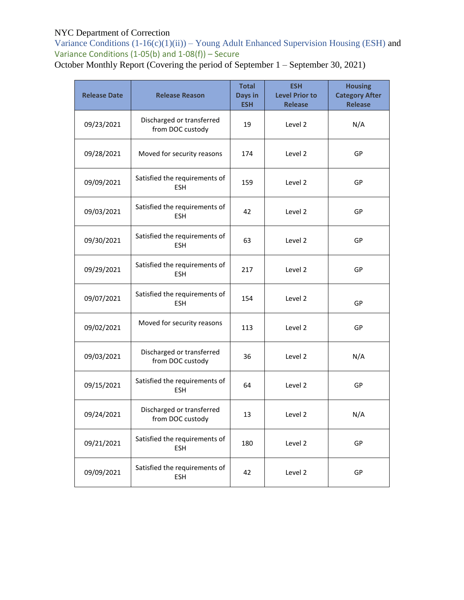Variance Conditions  $(1-16(c)(1)(ii))$  – Young Adult Enhanced Supervision Housing (ESH) and Variance Conditions (1-05(b) and  $1-08(f)$ ) – Secure

October Monthly Report (Covering the period of September 1 – September 30, 2021)

| <b>Release Date</b> | <b>Release Reason</b>                         | <b>Total</b><br>Days in<br><b>ESH</b> | <b>ESH</b><br><b>Level Prior to</b><br><b>Release</b> | <b>Housing</b><br><b>Category After</b><br><b>Release</b> |
|---------------------|-----------------------------------------------|---------------------------------------|-------------------------------------------------------|-----------------------------------------------------------|
| 09/23/2021          | Discharged or transferred<br>from DOC custody | 19                                    | Level 2                                               | N/A                                                       |
| 09/28/2021          | Moved for security reasons                    | 174                                   | Level 2                                               | GP                                                        |
| 09/09/2021          | Satisfied the requirements of<br><b>FSH</b>   | 159                                   | Level 2                                               | GP                                                        |
| 09/03/2021          | Satisfied the requirements of<br><b>ESH</b>   | 42                                    | Level 2                                               | GP                                                        |
| 09/30/2021          | Satisfied the requirements of<br><b>ESH</b>   | 63                                    | Level 2                                               | GP                                                        |
| 09/29/2021          | Satisfied the requirements of<br><b>ESH</b>   | 217                                   | Level 2                                               | GP                                                        |
| 09/07/2021          | Satisfied the requirements of<br><b>ESH</b>   | 154                                   | Level 2                                               | GP                                                        |
| 09/02/2021          | Moved for security reasons                    | 113                                   | Level 2                                               | GP                                                        |
| 09/03/2021          | Discharged or transferred<br>from DOC custody | 36                                    | Level 2                                               | N/A                                                       |
| 09/15/2021          | Satisfied the requirements of<br>ESH          | 64                                    | Level 2                                               | GP                                                        |
| 09/24/2021          | Discharged or transferred<br>from DOC custody | 13                                    | Level 2                                               | N/A                                                       |
| 09/21/2021          | Satisfied the requirements of<br><b>ESH</b>   | 180                                   | Level 2                                               | GP                                                        |
| 09/09/2021          | Satisfied the requirements of<br><b>ESH</b>   | 42                                    | Level 2                                               | GP                                                        |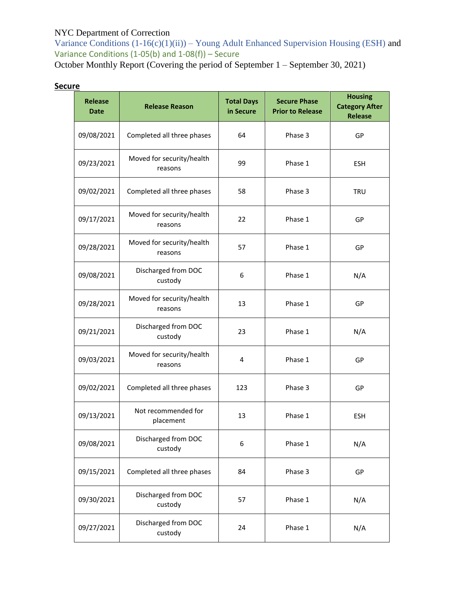Variance Conditions  $(1-16(c)(1)(ii))$  – Young Adult Enhanced Supervision Housing (ESH) and Variance Conditions  $(1-05(b)$  and  $1-08(f))$  – Secure

October Monthly Report (Covering the period of September 1 – September 30, 2021)

# **Secure**

| <b>Release</b><br><b>Date</b> | <b>Release Reason</b>                | <b>Total Days</b><br>in Secure | <b>Secure Phase</b><br><b>Prior to Release</b> | <b>Housing</b><br><b>Category After</b><br><b>Release</b> |
|-------------------------------|--------------------------------------|--------------------------------|------------------------------------------------|-----------------------------------------------------------|
| 09/08/2021                    | Completed all three phases           | 64                             | Phase 3                                        | GP                                                        |
| 09/23/2021                    | Moved for security/health<br>reasons | 99                             | Phase 1                                        | <b>ESH</b>                                                |
| 09/02/2021                    | Completed all three phases           | 58                             | Phase 3                                        | <b>TRU</b>                                                |
| 09/17/2021                    | Moved for security/health<br>reasons | 22                             | Phase 1                                        | GP                                                        |
| 09/28/2021                    | Moved for security/health<br>reasons | 57                             | Phase 1                                        | GP                                                        |
| 09/08/2021                    | Discharged from DOC<br>custody       | 6                              | Phase 1                                        | N/A                                                       |
| 09/28/2021                    | Moved for security/health<br>reasons | 13                             | Phase 1                                        | GP                                                        |
| 09/21/2021                    | Discharged from DOC<br>custody       | 23                             | Phase 1                                        | N/A                                                       |
| 09/03/2021                    | Moved for security/health<br>reasons | 4                              | Phase 1                                        | GP                                                        |
| 09/02/2021                    | Completed all three phases           | 123                            | Phase 3                                        | GP                                                        |
| 09/13/2021                    | Not recommended for<br>placement     | 13                             | Phase 1                                        | <b>ESH</b>                                                |
| 09/08/2021                    | Discharged from DOC<br>custody       | 6                              | Phase 1                                        | N/A                                                       |
| 09/15/2021                    | Completed all three phases           | 84                             | Phase 3                                        | GP                                                        |
| 09/30/2021                    | Discharged from DOC<br>custody       | 57                             | Phase 1                                        | N/A                                                       |
| 09/27/2021                    | Discharged from DOC<br>custody       | 24                             | Phase 1                                        | N/A                                                       |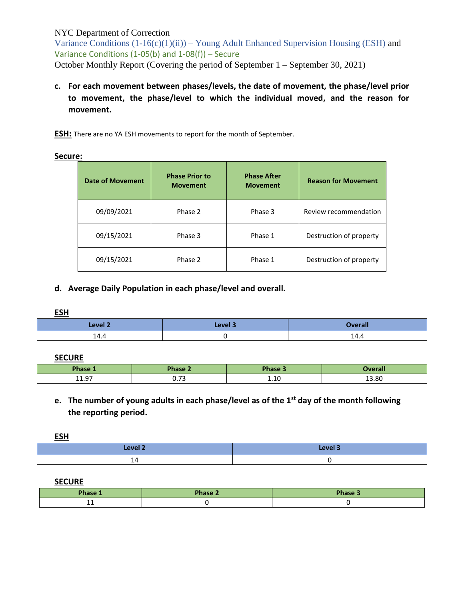Variance Conditions  $(1-16(c)(1)(ii))$  – Young Adult Enhanced Supervision Housing (ESH) and Variance Conditions (1-05(b) and 1-08(f)) – Secure October Monthly Report (Covering the period of September 1 – September 30, 2021)

**c. For each movement between phases/levels, the date of movement, the phase/level prior to movement, the phase/level to which the individual moved, and the reason for movement.**

**ESH:** There are no YA ESH movements to report for the month of September.

**Secure:**

| <b>Date of Movement</b> | <b>Phase Prior to</b><br><b>Movement</b> | <b>Phase After</b><br><b>Movement</b> | <b>Reason for Movement</b> |
|-------------------------|------------------------------------------|---------------------------------------|----------------------------|
| 09/09/2021              | Phase 2                                  | Phase 3                               | Review recommendation      |
| 09/15/2021              | Phase 3                                  | Phase 1                               | Destruction of property    |
| 09/15/2021              | Phase 2                                  | Phase 1                               | Destruction of property    |

#### **d. Average Daily Population in each phase/level and overall.**

#### **ESH**

| Level 2 | امیرہ<br>----- | reran       |
|---------|----------------|-------------|
| 14.4    |                | 1 л<br>-4.4 |

#### **SECURE**

| <b>Ohnco</b><br>лазе | Dhoco                                   | <b>Phase</b> | างคra<br>зган |
|----------------------|-----------------------------------------|--------------|---------------|
| $11Q^{-}$<br><b></b> | $\overline{\phantom{a}}$<br><b>U.IJ</b> | 1.10         | 13.80         |

# **e. The number of young adults in each phase/level as of the 1st day of the month following the reporting period.**

**ESH** 

| ____               |         |
|--------------------|---------|
| Level <sub>2</sub> | Level 3 |
| ᅸ                  |         |

**SECURE**

| Phase 1 | <b>Phase 2</b> | <b>Phase 3</b> |
|---------|----------------|----------------|
| .       |                |                |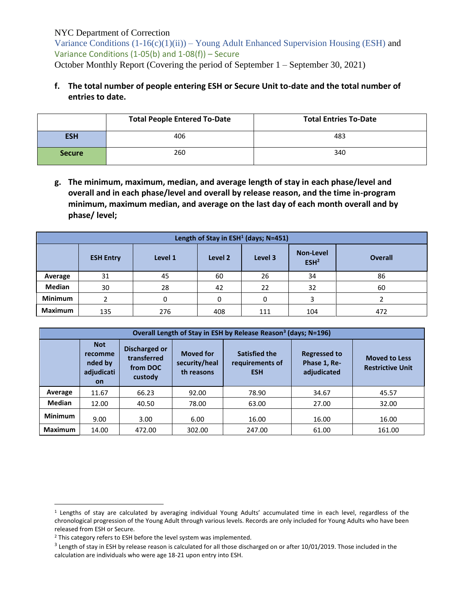Variance Conditions  $(1-16(c)(1)(ii))$  – Young Adult Enhanced Supervision Housing (ESH) and Variance Conditions (1-05(b) and 1-08(f)) – Secure October Monthly Report (Covering the period of September 1 – September 30, 2021)

# **f. The total number of people entering ESH or Secure Unit to-date and the total number of entries to date.**

|               | <b>Total People Entered To-Date</b> | <b>Total Entries To-Date</b> |
|---------------|-------------------------------------|------------------------------|
| <b>ESH</b>    | 406                                 | 483                          |
| <b>Secure</b> | 260                                 | 340                          |

**g. The minimum, maximum, median, and average length of stay in each phase/level and overall and in each phase/level and overall by release reason, and the time in-program minimum, maximum median, and average on the last day of each month overall and by phase/ level;**

| Length of Stay in ESH <sup>1</sup> (days; N=451) |                                                                                                             |     |     |     |     |     |  |
|--------------------------------------------------|-------------------------------------------------------------------------------------------------------------|-----|-----|-----|-----|-----|--|
|                                                  | <b>Non-Level</b><br>Level 3<br>Level 1<br>Level 2<br><b>Overall</b><br><b>ESH Entry</b><br>ESH <sup>2</sup> |     |     |     |     |     |  |
| Average                                          | 31                                                                                                          | 45  | 60  | 26  | 34  | 86  |  |
| <b>Median</b>                                    | 30                                                                                                          | 28  | 42  | 22  | 32  | 60  |  |
| <b>Minimum</b>                                   |                                                                                                             | 0   | 0   |     | 3   |     |  |
| <b>Maximum</b>                                   | 135                                                                                                         | 276 | 408 | 111 | 104 | 472 |  |

| Overall Length of Stay in ESH by Release Reason <sup>3</sup> (days; N=196) |                                                             |                                                                                                                                                                                                                       |        |        |       |                                                 |  |
|----------------------------------------------------------------------------|-------------------------------------------------------------|-----------------------------------------------------------------------------------------------------------------------------------------------------------------------------------------------------------------------|--------|--------|-------|-------------------------------------------------|--|
|                                                                            | <b>Not</b><br>recomme<br>nded by<br>adjudicati<br><b>on</b> | Discharged or<br><b>Satisfied the</b><br><b>Moved for</b><br><b>Regressed to</b><br>transferred<br>security/heal<br>Phase 1, Re-<br>requirements of<br>from DOC<br>adjudicated<br>th reasons<br><b>ESH</b><br>custody |        |        |       | <b>Moved to Less</b><br><b>Restrictive Unit</b> |  |
| Average                                                                    | 11.67                                                       | 66.23                                                                                                                                                                                                                 | 92.00  | 78.90  | 34.67 | 45.57                                           |  |
| Median                                                                     | 12.00                                                       | 40.50                                                                                                                                                                                                                 | 78.00  | 63.00  | 27.00 | 32.00                                           |  |
| <b>Minimum</b>                                                             | 9.00                                                        | 3.00                                                                                                                                                                                                                  | 6.00   | 16.00  | 16.00 | 16.00                                           |  |
| <b>Maximum</b>                                                             | 14.00                                                       | 472.00                                                                                                                                                                                                                | 302.00 | 247.00 | 61.00 | 161.00                                          |  |

 $\overline{a}$ 

<sup>1</sup> Lengths of stay are calculated by averaging individual Young Adults' accumulated time in each level, regardless of the chronological progression of the Young Adult through various levels. Records are only included for Young Adults who have been released from ESH or Secure.

<sup>&</sup>lt;sup>2</sup> This category refers to ESH before the level system was implemented.

 $3$  Length of stay in ESH by release reason is calculated for all those discharged on or after 10/01/2019. Those included in the calculation are individuals who were age 18-21 upon entry into ESH.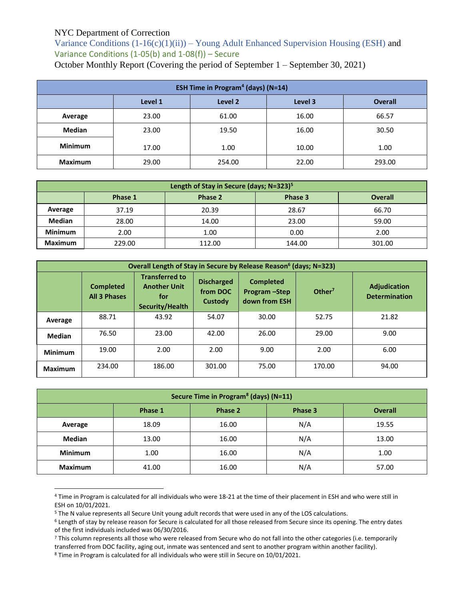Variance Conditions  $(1-16(c)(1)(ii))$  – Young Adult Enhanced Supervision Housing (ESH) and Variance Conditions (1-05(b) and 1-08(f)) – Secure

|  |  |  |  |  | October Monthly Report (Covering the period of September 1 – September 30, 2021) |
|--|--|--|--|--|----------------------------------------------------------------------------------|
|--|--|--|--|--|----------------------------------------------------------------------------------|

| <b>ESH Time in Program<sup>4</sup> (days) (N=14)</b> |                                                 |        |       |        |  |  |  |
|------------------------------------------------------|-------------------------------------------------|--------|-------|--------|--|--|--|
|                                                      | Level 2<br>Level 3<br>Level 1<br><b>Overall</b> |        |       |        |  |  |  |
| Average                                              | 23.00                                           | 61.00  | 16.00 | 66.57  |  |  |  |
| <b>Median</b>                                        | 23.00                                           | 19.50  | 16.00 | 30.50  |  |  |  |
| <b>Minimum</b>                                       | 17.00                                           | 1.00   | 10.00 | 1.00   |  |  |  |
| <b>Maximum</b>                                       | 29.00                                           | 254.00 | 22.00 | 293.00 |  |  |  |

| Length of Stay in Secure (days; N=323) <sup>5</sup> |                                                 |        |        |        |  |  |  |
|-----------------------------------------------------|-------------------------------------------------|--------|--------|--------|--|--|--|
|                                                     | Phase 3<br>Phase 2<br><b>Overall</b><br>Phase 1 |        |        |        |  |  |  |
| Average                                             | 37.19                                           | 20.39  | 28.67  | 66.70  |  |  |  |
| <b>Median</b>                                       | 28.00                                           | 14.00  | 23.00  | 59.00  |  |  |  |
| <b>Minimum</b>                                      | 2.00                                            | 1.00   | 0.00   | 2.00   |  |  |  |
| <b>Maximum</b>                                      | 229.00                                          | 112.00 | 144.00 | 301.00 |  |  |  |

| Overall Length of Stay in Secure by Release Reason <sup>6</sup> (days; N=323) |                                         |                                                                        |                                          |                                                     |                    |                                             |  |  |
|-------------------------------------------------------------------------------|-----------------------------------------|------------------------------------------------------------------------|------------------------------------------|-----------------------------------------------------|--------------------|---------------------------------------------|--|--|
|                                                                               | <b>Completed</b><br><b>All 3 Phases</b> | <b>Transferred to</b><br><b>Another Unit</b><br>for<br>Security/Health | <b>Discharged</b><br>from DOC<br>Custody | <b>Completed</b><br>Program - Step<br>down from ESH | Other <sup>7</sup> | <b>Adjudication</b><br><b>Determination</b> |  |  |
| Average                                                                       | 88.71                                   | 43.92                                                                  | 54.07                                    | 30.00                                               | 52.75              | 21.82                                       |  |  |
| <b>Median</b>                                                                 | 76.50                                   | 23.00                                                                  | 42.00                                    | 26.00                                               | 29.00              | 9.00                                        |  |  |
| <b>Minimum</b>                                                                | 19.00                                   | 2.00                                                                   | 2.00                                     | 9.00                                                | 2.00               | 6.00                                        |  |  |
| <b>Maximum</b>                                                                | 234.00                                  | 186.00                                                                 | 301.00                                   | 75.00                                               | 170.00             | 94.00                                       |  |  |

| Secure Time in Program <sup>8</sup> (days) (N=11) |                                                 |       |     |       |  |  |  |
|---------------------------------------------------|-------------------------------------------------|-------|-----|-------|--|--|--|
|                                                   | Phase 1<br>Phase 2<br><b>Overall</b><br>Phase 3 |       |     |       |  |  |  |
| Average                                           | 18.09                                           | 16.00 | N/A | 19.55 |  |  |  |
| <b>Median</b>                                     | 13.00                                           | 16.00 | N/A | 13.00 |  |  |  |
| <b>Minimum</b>                                    | 1.00                                            | 16.00 | N/A | 1.00  |  |  |  |
| <b>Maximum</b>                                    | 41.00                                           | 16.00 | N/A | 57.00 |  |  |  |

<sup>4</sup> Time in Program is calculated for all individuals who were 18-21 at the time of their placement in ESH and who were still in ESH on 10/01/2021.

 $\overline{a}$ 

<sup>5</sup> The N value represents all Secure Unit young adult records that were used in any of the LOS calculations.

<sup>6</sup> Length of stay by release reason for Secure is calculated for all those released from Secure since its opening. The entry dates of the first individuals included was 06/30/2016.

<sup>7</sup> This column represents all those who were released from Secure who do not fall into the other categories (i.e. temporarily transferred from DOC facility, aging out, inmate was sentenced and sent to another program within another facility).

<sup>8</sup> Time in Program is calculated for all individuals who were still in Secure on 10/01/2021.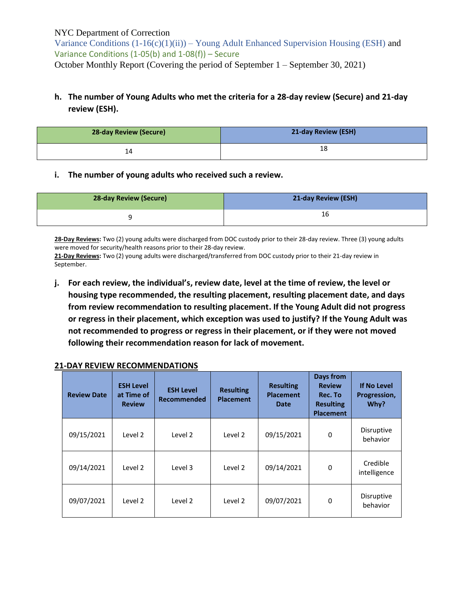Variance Conditions  $(1-16(c)(1)(ii))$  – Young Adult Enhanced Supervision Housing (ESH) and Variance Conditions (1-05(b) and 1-08(f)) – Secure October Monthly Report (Covering the period of September 1 – September 30, 2021)

# **h. The number of Young Adults who met the criteria for a 28-day review (Secure) and 21-day review (ESH).**

| <b>28-day Review (Secure)</b> | 21-day Review (ESH) |
|-------------------------------|---------------------|
| 14                            | 18                  |

#### **i. The number of young adults who received such a review.**

| <b>28-day Review (Secure)</b> | 21-day Review (ESH) |
|-------------------------------|---------------------|
|                               | Τp                  |

**28-Day Reviews:** Two (2) young adults were discharged from DOC custody prior to their 28-day review. Three (3) young adults were moved for security/health reasons prior to their 28-day review.

**21-Day Reviews:** Two (2) young adults were discharged/transferred from DOC custody prior to their 21-day review in September.

**j. For each review, the individual's, review date, level at the time of review, the level or housing type recommended, the resulting placement, resulting placement date, and days from review recommendation to resulting placement. If the Young Adult did not progress or regress in their placement, which exception was used to justify? If the Young Adult was not recommended to progress or regress in their placement, or if they were not moved following their recommendation reason for lack of movement.**

| <b>Review Date</b> | <b>ESH Level</b><br>at Time of<br><b>Review</b> | <b>ESH Level</b><br><b>Recommended</b> | <b>Resulting</b><br><b>Placement</b> | <b>Resulting</b><br><b>Placement</b><br><b>Date</b> | Days from<br><b>Review</b><br>Rec. To<br><b>Resulting</b><br><b>Placement</b> | <b>If No Level</b><br>Progression,<br>Why? |
|--------------------|-------------------------------------------------|----------------------------------------|--------------------------------------|-----------------------------------------------------|-------------------------------------------------------------------------------|--------------------------------------------|
| 09/15/2021         | Level 2                                         | Level 2                                | Level 2                              | 09/15/2021                                          | 0                                                                             | Disruptive<br>behavior                     |
| 09/14/2021         | Level 2                                         | Level 3                                | Level 2                              | 09/14/2021                                          | 0                                                                             | Credible<br>intelligence                   |
| 09/07/2021         | Level 2                                         | Level 2                                | Level 2                              | 09/07/2021                                          | 0                                                                             | Disruptive<br>behavior                     |

#### **21-DAY REVIEW RECOMMENDATIONS**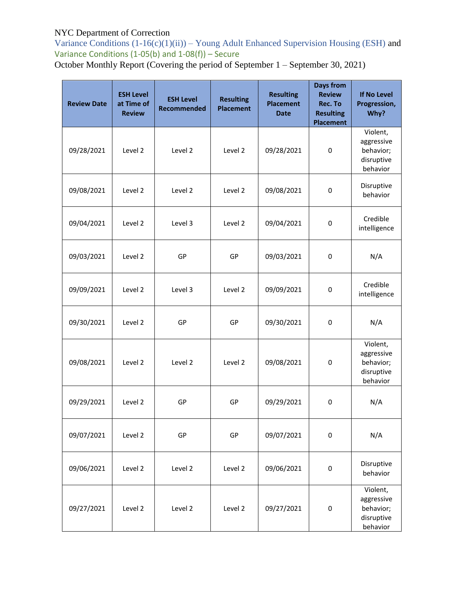Variance Conditions  $(1-16(c)(1)(ii))$  – Young Adult Enhanced Supervision Housing (ESH) and Variance Conditions  $(1-05(b)$  and  $1-08(f))$  – Secure

October Monthly Report (Covering the period of September 1 – September 30, 2021)

| <b>Review Date</b> | <b>ESH Level</b><br>at Time of<br><b>Review</b> | <b>ESH Level</b><br><b>Recommended</b> | <b>Resulting</b><br><b>Placement</b> | <b>Resulting</b><br><b>Placement</b><br><b>Date</b> | <b>Days from</b><br><b>Review</b><br>Rec. To<br><b>Resulting</b><br><b>Placement</b> | <b>If No Level</b><br>Progression,<br>Why?                    |
|--------------------|-------------------------------------------------|----------------------------------------|--------------------------------------|-----------------------------------------------------|--------------------------------------------------------------------------------------|---------------------------------------------------------------|
| 09/28/2021         | Level 2                                         | Level 2                                | Level 2                              | 09/28/2021                                          | 0                                                                                    | Violent,<br>aggressive<br>behavior;<br>disruptive<br>behavior |
| 09/08/2021         | Level 2                                         | Level 2                                | Level 2                              | 09/08/2021                                          | 0                                                                                    | Disruptive<br>behavior                                        |
| 09/04/2021         | Level 2                                         | Level 3                                | Level 2                              | 09/04/2021                                          | 0                                                                                    | Credible<br>intelligence                                      |
| 09/03/2021         | Level 2                                         | GP                                     | GP                                   | 09/03/2021                                          | 0                                                                                    | N/A                                                           |
| 09/09/2021         | Level 2                                         | Level 3                                | Level 2                              | 09/09/2021                                          | $\mathbf 0$                                                                          | Credible<br>intelligence                                      |
| 09/30/2021         | Level 2                                         | GP                                     | GP                                   | 09/30/2021                                          | 0                                                                                    | N/A                                                           |
| 09/08/2021         | Level 2                                         | Level 2                                | Level 2                              | 09/08/2021                                          | 0                                                                                    | Violent,<br>aggressive<br>behavior;<br>disruptive<br>behavior |
| 09/29/2021         | Level 2                                         | GP                                     | GP                                   | 09/29/2021                                          | 0                                                                                    | N/A                                                           |
| 09/07/2021         | Level 2                                         | GP                                     | GP                                   | 09/07/2021                                          | $\pmb{0}$                                                                            | N/A                                                           |
| 09/06/2021         | Level 2                                         | Level 2                                | Level 2                              | 09/06/2021                                          | $\pmb{0}$                                                                            | Disruptive<br>behavior                                        |
| 09/27/2021         | Level 2                                         | Level 2                                | Level 2                              | 09/27/2021                                          | $\pmb{0}$                                                                            | Violent,<br>aggressive<br>behavior;<br>disruptive<br>behavior |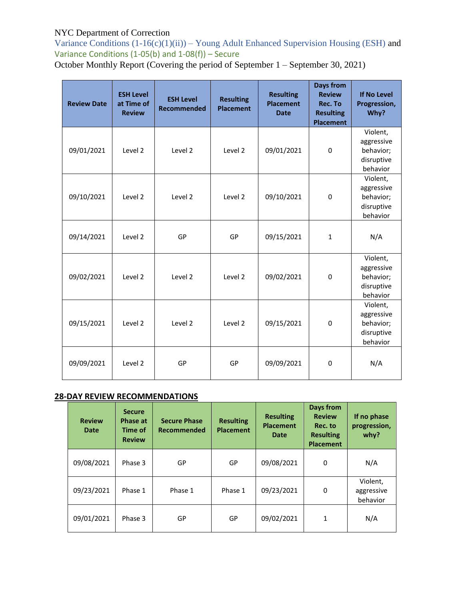Variance Conditions  $(1-16(c)(1)(ii))$  – Young Adult Enhanced Supervision Housing (ESH) and Variance Conditions  $(1-05(b)$  and  $1-08(f))$  – Secure

October Monthly Report (Covering the period of September 1 – September 30, 2021)

| <b>Review Date</b> | <b>ESH Level</b><br>at Time of<br><b>Review</b> | <b>ESH Level</b><br><b>Recommended</b> | <b>Resulting</b><br><b>Placement</b> | <b>Resulting</b><br><b>Placement</b><br><b>Date</b> | Days from<br><b>Review</b><br>Rec. To<br><b>Resulting</b><br><b>Placement</b> | <b>If No Level</b><br>Progression,<br>Why?                    |
|--------------------|-------------------------------------------------|----------------------------------------|--------------------------------------|-----------------------------------------------------|-------------------------------------------------------------------------------|---------------------------------------------------------------|
| 09/01/2021         | Level 2                                         | Level 2                                | Level 2                              | 09/01/2021                                          | $\Omega$                                                                      | Violent,<br>aggressive<br>behavior;<br>disruptive<br>behavior |
| 09/10/2021         | Level <sub>2</sub>                              | Level 2                                | Level 2                              | 09/10/2021                                          | 0                                                                             | Violent,<br>aggressive<br>behavior;<br>disruptive<br>behavior |
| 09/14/2021         | Level 2                                         | GP                                     | GP                                   | 09/15/2021                                          | $\mathbf{1}$                                                                  | N/A                                                           |
| 09/02/2021         | Level 2                                         | Level 2                                | Level 2                              | 09/02/2021                                          | $\mathbf{0}$                                                                  | Violent,<br>aggressive<br>behavior;<br>disruptive<br>behavior |
| 09/15/2021         | Level 2                                         | Level 2                                | Level 2                              | 09/15/2021                                          | $\mathbf{0}$                                                                  | Violent,<br>aggressive<br>behavior;<br>disruptive<br>behavior |
| 09/09/2021         | Level 2                                         | GP                                     | GP                                   | 09/09/2021                                          | $\mathbf{0}$                                                                  | N/A                                                           |

# **28-DAY REVIEW RECOMMENDATIONS**

| <b>Review</b><br>Date | <b>Secure</b><br>Phase at<br>Time of<br><b>Review</b> | <b>Secure Phase</b><br>Recommended | <b>Resulting</b><br><b>Placement</b> | <b>Resulting</b><br><b>Placement</b><br>Date | Days from<br><b>Review</b><br>Rec. to<br><b>Resulting</b><br><b>Placement</b> | If no phase<br>progression,<br>whv? |
|-----------------------|-------------------------------------------------------|------------------------------------|--------------------------------------|----------------------------------------------|-------------------------------------------------------------------------------|-------------------------------------|
| 09/08/2021            | Phase 3                                               | GP                                 | GP                                   | 09/08/2021                                   | 0                                                                             | N/A                                 |
| 09/23/2021            | Phase 1                                               | Phase 1                            | Phase 1                              | 09/23/2021                                   | 0                                                                             | Violent,<br>aggressive<br>behavior  |
| 09/01/2021            | Phase 3                                               | GP                                 | GP                                   | 09/02/2021                                   | 1                                                                             | N/A                                 |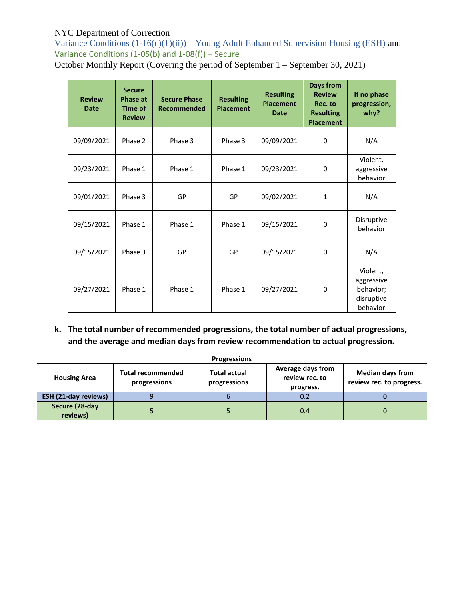Variance Conditions  $(1-16(c)(1)(ii))$  – Young Adult Enhanced Supervision Housing (ESH) and Variance Conditions  $(1-05(b)$  and  $1-08(f))$  – Secure

October Monthly Report (Covering the period of September 1 – September 30, 2021)

| <b>Review</b><br><b>Date</b> | <b>Secure</b><br><b>Phase at</b><br>Time of<br><b>Review</b> | <b>Secure Phase</b><br>Recommended | <b>Resulting</b><br><b>Placement</b> | <b>Resulting</b><br><b>Placement</b><br>Date | <b>Days from</b><br><b>Review</b><br>Rec. to<br><b>Resulting</b><br><b>Placement</b> | If no phase<br>progression,<br>why?                           |
|------------------------------|--------------------------------------------------------------|------------------------------------|--------------------------------------|----------------------------------------------|--------------------------------------------------------------------------------------|---------------------------------------------------------------|
| 09/09/2021                   | Phase 2                                                      | Phase 3                            | Phase 3                              | 09/09/2021                                   | 0                                                                                    | N/A                                                           |
| 09/23/2021                   | Phase 1                                                      | Phase 1                            | Phase 1                              | 09/23/2021                                   | $\Omega$                                                                             | Violent,<br>aggressive<br>behavior                            |
| 09/01/2021                   | Phase 3                                                      | GP                                 | GP                                   | 09/02/2021                                   | $\mathbf{1}$                                                                         | N/A                                                           |
| 09/15/2021                   | Phase 1                                                      | Phase 1                            | Phase 1                              | 09/15/2021                                   | $\Omega$                                                                             | Disruptive<br>behavior                                        |
| 09/15/2021                   | Phase 3                                                      | GP                                 | GP                                   | 09/15/2021                                   | 0                                                                                    | N/A                                                           |
| 09/27/2021                   | Phase 1                                                      | Phase 1                            | Phase 1                              | 09/27/2021                                   | 0                                                                                    | Violent,<br>aggressive<br>behavior;<br>disruptive<br>behavior |

**k. The total number of recommended progressions, the total number of actual progressions, and the average and median days from review recommendation to actual progression.**

| <b>Progressions</b>         |                                          |                                     |                                                  |                                                     |  |  |
|-----------------------------|------------------------------------------|-------------------------------------|--------------------------------------------------|-----------------------------------------------------|--|--|
| <b>Housing Area</b>         | <b>Total recommended</b><br>progressions | <b>Total actual</b><br>progressions | Average days from<br>review rec. to<br>progress. | <b>Median days from</b><br>review rec. to progress. |  |  |
| <b>ESH (21-day reviews)</b> |                                          |                                     | 0.2                                              |                                                     |  |  |
| Secure (28-day<br>reviews)  |                                          |                                     | 0.4                                              |                                                     |  |  |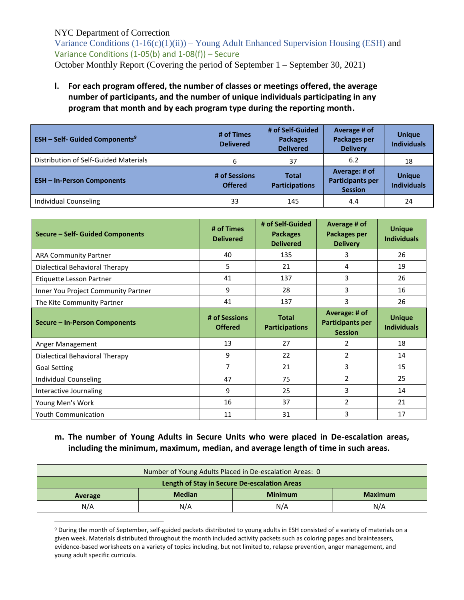$\overline{a}$ 

Variance Conditions  $(1-16(c)(1)(ii))$  – Young Adult Enhanced Supervision Housing (ESH) and Variance Conditions (1-05(b) and 1-08(f)) – Secure October Monthly Report (Covering the period of September 1 – September 30, 2021)

# **l. For each program offered, the number of classes or meetings offered, the average number of participants, and the number of unique individuals participating in any program that month and by each program type during the reporting month.**

| <b>ESH – Self- Guided Components<sup>9</sup></b> | # of Times<br><b>Delivered</b>  | # of Self-Guided<br><b>Packages</b><br><b>Delivered</b> | Average # of<br>Packages per<br><b>Delivery</b>            | <b>Unique</b><br><b>Individuals</b> |
|--------------------------------------------------|---------------------------------|---------------------------------------------------------|------------------------------------------------------------|-------------------------------------|
| Distribution of Self-Guided Materials            | 6                               | 37                                                      | 6.2                                                        | 18                                  |
| <b>ESH-In-Person Components</b>                  | # of Sessions<br><b>Offered</b> | <b>Total</b><br><b>Participations</b>                   | Average: # of<br><b>Participants per</b><br><b>Session</b> | <b>Unique</b><br><b>Individuals</b> |
| <b>Individual Counseling</b>                     | 33                              | 145                                                     | 4.4                                                        | 24                                  |

| Secure - Self- Guided Components    | # of Times<br><b>Delivered</b> | # of Self-Guided<br><b>Packages</b><br><b>Delivered</b> | Average # of<br>Packages per<br><b>Delivery</b> | <b>Unique</b><br><b>Individuals</b> |
|-------------------------------------|--------------------------------|---------------------------------------------------------|-------------------------------------------------|-------------------------------------|
| <b>ARA Community Partner</b>        | 40                             | 135                                                     | 3                                               | 26                                  |
| Dialectical Behavioral Therapy      | 5                              | 21                                                      | 4                                               | 19                                  |
| Etiquette Lesson Partner            | 41                             | 137                                                     | 3                                               | 26                                  |
| Inner You Project Community Partner | 9                              | 28                                                      | 3                                               | 16                                  |
| The Kite Community Partner          | 41                             | 137                                                     | 3                                               | 26                                  |
|                                     | # of Sessions                  | <b>Total</b>                                            | Average: # of                                   | <b>Unique</b>                       |
| Secure - In-Person Components       | <b>Offered</b>                 | <b>Participations</b>                                   | <b>Participants per</b><br><b>Session</b>       | <b>Individuals</b>                  |
| Anger Management                    | 13                             | 27                                                      | 2                                               | 18                                  |
| Dialectical Behavioral Therapy      | 9                              | 22                                                      | 2                                               | 14                                  |
| <b>Goal Setting</b>                 | $\overline{7}$                 | 21                                                      | 3                                               | 15                                  |
| Individual Counseling               | 47                             | 75                                                      | $\overline{2}$                                  | 25                                  |
| Interactive Journaling              | 9                              | 25                                                      | 3                                               | 14                                  |
| Young Men's Work                    | 16                             | 37                                                      | $\overline{2}$                                  | 21                                  |

# **m. The number of Young Adults in Secure Units who were placed in De-escalation areas, including the minimum, maximum, median, and average length of time in such areas.**

| Number of Young Adults Placed in De-escalation Areas: 0 |               |                |                |  |
|---------------------------------------------------------|---------------|----------------|----------------|--|
| Length of Stay in Secure De-escalation Areas            |               |                |                |  |
| Average                                                 | <b>Median</b> | <b>Minimum</b> | <b>Maximum</b> |  |
| N/A                                                     | N/A           | N/A            | N/A            |  |

<sup>9</sup> During the month of September, self-guided packets distributed to young adults in ESH consisted of a variety of materials on a given week. Materials distributed throughout the month included activity packets such as coloring pages and brainteasers, evidence-based worksheets on a variety of topics including, but not limited to, relapse prevention, anger management, and young adult specific curricula.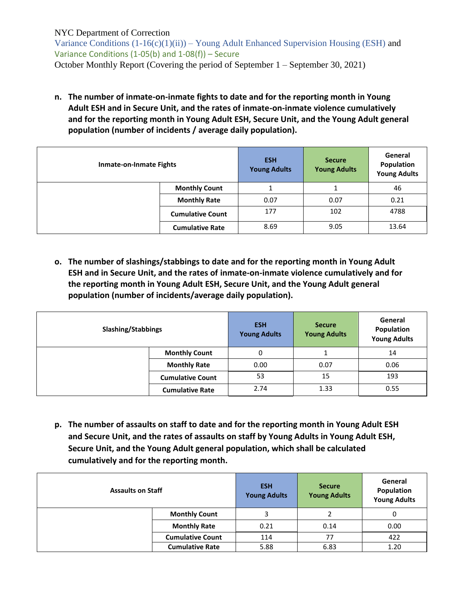Variance Conditions  $(1-16(c)(1)(ii))$  – Young Adult Enhanced Supervision Housing (ESH) and Variance Conditions (1-05(b) and 1-08(f)) – Secure October Monthly Report (Covering the period of September 1 – September 30, 2021)

**n. The number of inmate-on-inmate fights to date and for the reporting month in Young Adult ESH and in Secure Unit, and the rates of inmate-on-inmate violence cumulatively and for the reporting month in Young Adult ESH, Secure Unit, and the Young Adult general population (number of incidents / average daily population).**

| Inmate-on-Inmate Fights |                         | <b>ESH</b><br><b>Young Adults</b> | <b>Secure</b><br><b>Young Adults</b> | General<br>Population<br><b>Young Adults</b> |
|-------------------------|-------------------------|-----------------------------------|--------------------------------------|----------------------------------------------|
|                         | <b>Monthly Count</b>    |                                   |                                      | 46                                           |
|                         | <b>Monthly Rate</b>     | 0.07                              | 0.07                                 | 0.21                                         |
|                         | <b>Cumulative Count</b> | 177                               | 102                                  | 4788                                         |
|                         | <b>Cumulative Rate</b>  | 8.69                              | 9.05                                 | 13.64                                        |

**o. The number of slashings/stabbings to date and for the reporting month in Young Adult ESH and in Secure Unit, and the rates of inmate-on-inmate violence cumulatively and for the reporting month in Young Adult ESH, Secure Unit, and the Young Adult general population (number of incidents/average daily population).**

| <b>Slashing/Stabbings</b> |                         | <b>ESH</b><br><b>Young Adults</b> | <b>Secure</b><br><b>Young Adults</b> | General<br>Population<br><b>Young Adults</b> |
|---------------------------|-------------------------|-----------------------------------|--------------------------------------|----------------------------------------------|
|                           | <b>Monthly Count</b>    | 0                                 |                                      | 14                                           |
|                           | <b>Monthly Rate</b>     | 0.00                              | 0.07                                 | 0.06                                         |
|                           | <b>Cumulative Count</b> | 53                                | 15                                   | 193                                          |
|                           | <b>Cumulative Rate</b>  | 2.74                              | 1.33                                 | 0.55                                         |

**p. The number of assaults on staff to date and for the reporting month in Young Adult ESH and Secure Unit, and the rates of assaults on staff by Young Adults in Young Adult ESH, Secure Unit, and the Young Adult general population, which shall be calculated cumulatively and for the reporting month.**

| <b>Assaults on Staff</b> |                         | <b>ESH</b><br><b>Young Adults</b> | <b>Secure</b><br><b>Young Adults</b> | General<br>Population<br><b>Young Adults</b> |
|--------------------------|-------------------------|-----------------------------------|--------------------------------------|----------------------------------------------|
|                          | <b>Monthly Count</b>    | 3                                 |                                      | 0                                            |
|                          | <b>Monthly Rate</b>     | 0.21                              | 0.14                                 | 0.00                                         |
|                          | <b>Cumulative Count</b> | 114                               | 77                                   | 422                                          |
|                          | <b>Cumulative Rate</b>  | 5.88                              | 6.83                                 | 1.20                                         |